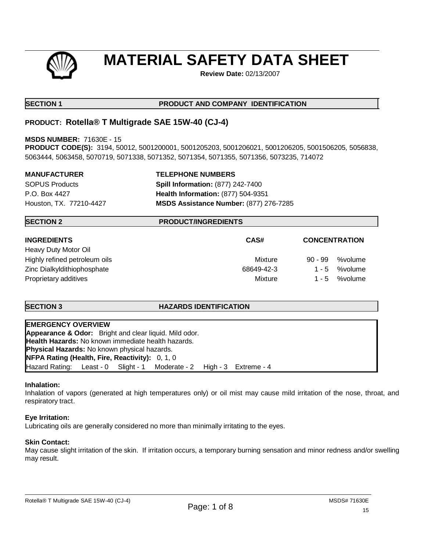

# **MATERIAL SAFETY DATA SHEET**

**Review Date:** 02/13/2007

# **SECTION 1 PRODUCT AND COMPANY IDENTIFICATION**

# **PRODUCT: Rotella® T Multigrade SAE 15W-40 (CJ-4)**

**MSDS NUMBER:** 71630E - 15

**PRODUCT CODE(S):** 3194, 50012, 5001200001, 5001205203, 5001206021, 5001206205, 5001506205, 5056838, 5063444, 5063458, 5070719, 5071338, 5071352, 5071354, 5071355, 5071356, 5073235, 714072

### **MANUFACTURER TELEPHONE NUMBERS**

SOPUS Products **Spill Information:** (877) 242-7400 P.O. Box 4427 **Health Information:** (877) 504-9351 Houston, TX. 77210-4427 **MSDS Assistance Number:** (877) 276-7285

# **SECTION 2 PRODUCT/INGREDIENTS**

| <b>INGREDIENTS</b>            | CAS#<br><b>CONCENTRATION</b> |                      |
|-------------------------------|------------------------------|----------------------|
| Heavy Duty Motor Oil          |                              |                      |
| Highly refined petroleum oils | Mixture                      | %volume<br>$90 - 99$ |
| Zinc Dialkyldithiophosphate   | 68649-42-3                   | %volume<br>$1 - 5$   |
| Proprietary additives         | Mixture                      | %volume<br>$1 - 5$   |

# **SECTION 3 HAZARDS IDENTIFICATION**

| <b>EMERGENCY OVERVIEW</b>                                             |  |
|-----------------------------------------------------------------------|--|
| <b>Appearance &amp; Odor:</b> Bright and clear liquid. Mild odor.     |  |
| Health Hazards: No known immediate health hazards.                    |  |
| <b>Physical Hazards:</b> No known physical hazards.                   |  |
| <b>NFPA Rating (Health, Fire, Reactivity):</b> 0, 1, 0                |  |
| Hazard Rating: Least - 0 Slight - 1 Moderate - 2 High - 3 Extreme - 4 |  |

#### **Inhalation:**

Inhalation of vapors (generated at high temperatures only) or oil mist may cause mild irritation of the nose, throat, and respiratory tract.

# **Eye Irritation:**

Lubricating oils are generally considered no more than minimally irritating to the eyes.

# **Skin Contact:**

May cause slight irritation of the skin. If irritation occurs, a temporary burning sensation and minor redness and/or swelling may result.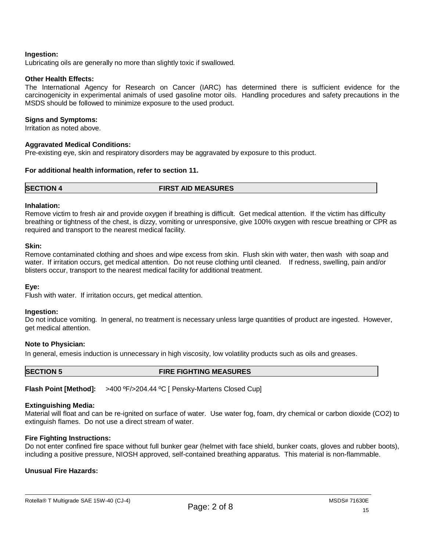### **Ingestion:**

Lubricating oils are generally no more than slightly toxic if swallowed.

### **Other Health Effects:**

The International Agency for Research on Cancer (IARC) has determined there is sufficient evidence for the carcinogenicity in experimental animals of used gasoline motor oils. Handling procedures and safety precautions in the MSDS should be followed to minimize exposure to the used product.

### **Signs and Symptoms:**

Irritation as noted above.

### **Aggravated Medical Conditions:**

Pre-existing eye, skin and respiratory disorders may be aggravated by exposure to this product.

### **For additional health information, refer to section 11.**

**SECTION 4 FIRST AID MEASURES**

### **Inhalation:**

Remove victim to fresh air and provide oxygen if breathing is difficult. Get medical attention. If the victim has difficulty breathing or tightness of the chest, is dizzy, vomiting or unresponsive, give 100% oxygen with rescue breathing or CPR as required and transport to the nearest medical facility.

#### **Skin:**

Remove contaminated clothing and shoes and wipe excess from skin. Flush skin with water, then wash with soap and water. If irritation occurs, get medical attention. Do not reuse clothing until cleaned. If redness, swelling, pain and/or blisters occur, transport to the nearest medical facility for additional treatment.

#### **Eye:**

Flush with water. If irritation occurs, get medical attention.

#### **Ingestion:**

Do not induce vomiting. In general, no treatment is necessary unless large quantities of product are ingested. However, get medical attention.

#### **Note to Physician:**

In general, emesis induction is unnecessary in high viscosity, low volatility products such as oils and greases.

#### **SECTION 5 FIRE FIGHTING MEASURES**

**Flash Point [Method]:** >400 ºF/>204.44 ºC [ Pensky-Martens Closed Cup]

# **Extinguishing Media:**

Material will float and can be re-ignited on surface of water. Use water fog, foam, dry chemical or carbon dioxide (CO2) to extinguish flames. Do not use a direct stream of water.

# **Fire Fighting Instructions:**

Do not enter confined fire space without full bunker gear (helmet with face shield, bunker coats, gloves and rubber boots), including a positive pressure, NIOSH approved, self-contained breathing apparatus. This material is non-flammable.

### **Unusual Fire Hazards:**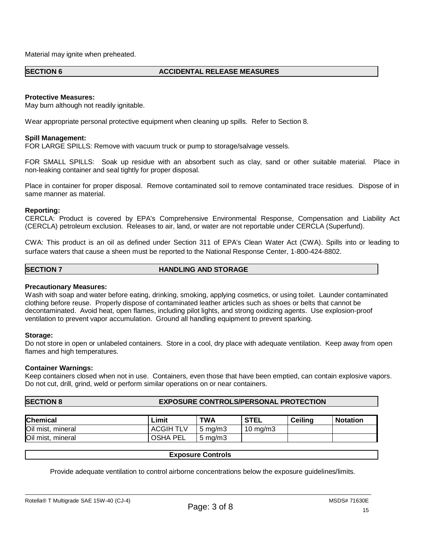Material may ignite when preheated.

#### **SECTION 6 ACCIDENTAL RELEASE MEASURES**

### **Protective Measures:**

May burn although not readily ignitable.

Wear appropriate personal protective equipment when cleaning up spills. Refer to Section 8.

### **Spill Management:**

FOR LARGE SPILLS: Remove with vacuum truck or pump to storage/salvage vessels.

FOR SMALL SPILLS: Soak up residue with an absorbent such as clay, sand or other suitable material. Place in non-leaking container and seal tightly for proper disposal.

Place in container for proper disposal. Remove contaminated soil to remove contaminated trace residues. Dispose of in same manner as material.

#### **Reporting:**

CERCLA: Product is covered by EPA's Comprehensive Environmental Response, Compensation and Liability Act (CERCLA) petroleum exclusion. Releases to air, land, or water are not reportable under CERCLA (Superfund).

CWA: This product is an oil as defined under Section 311 of EPA's Clean Water Act (CWA). Spills into or leading to surface waters that cause a sheen must be reported to the National Response Center, 1-800-424-8802.

#### **SECTION 7 HANDLING AND STORAGE**

#### **Precautionary Measures:**

Wash with soap and water before eating, drinking, smoking, applying cosmetics, or using toilet. Launder contaminated clothing before reuse. Properly dispose of contaminated leather articles such as shoes or belts that cannot be decontaminated. Avoid heat, open flames, including pilot lights, and strong oxidizing agents. Use explosion-proof ventilation to prevent vapor accumulation. Ground all handling equipment to prevent sparking.

#### **Storage:**

Do not store in open or unlabeled containers. Store in a cool, dry place with adequate ventilation. Keep away from open flames and high temperatures.

#### **Container Warnings:**

Keep containers closed when not in use. Containers, even those that have been emptied, can contain explosive vapors. Do not cut, drill, grind, weld or perform similar operations on or near containers.

# **SECTION 8 EXPOSURE CONTROLS/PERSONAL PROTECTION**

| <b>Chemical</b>   | ∟imit            | <b>TWA</b>         | <b>STEL</b>         | <b>Ceiling</b> | <b>Notation</b> |
|-------------------|------------------|--------------------|---------------------|----------------|-----------------|
| Oil mist, mineral | <b>ACGIH TLV</b> | $5 \text{ ma/m}$ 3 | $10 \text{ ma/m}$ 3 |                |                 |
| Oil mist, mineral | <b>OSHA PEL</b>  | $5 \text{ ma/m}$ 3 |                     |                |                 |

#### **Exposure Controls**

Provide adequate ventilation to control airborne concentrations below the exposure guidelines/limits.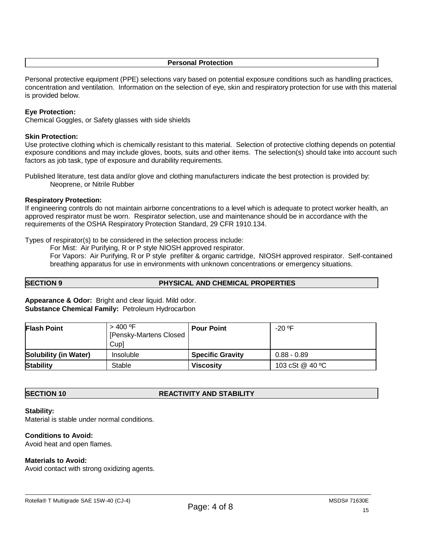#### **Personal Protection**

Personal protective equipment (PPE) selections vary based on potential exposure conditions such as handling practices, concentration and ventilation. Information on the selection of eye, skin and respiratory protection for use with this material is provided below.

### **Eye Protection:**

Chemical Goggles, or Safety glasses with side shields

### **Skin Protection:**

Use protective clothing which is chemically resistant to this material. Selection of protective clothing depends on potential exposure conditions and may include gloves, boots, suits and other items. The selection(s) should take into account such factors as job task, type of exposure and durability requirements.

Published literature, test data and/or glove and clothing manufacturers indicate the best protection is provided by: Neoprene, or Nitrile Rubber

### **Respiratory Protection:**

If engineering controls do not maintain airborne concentrations to a level which is adequate to protect worker health, an approved respirator must be worn. Respirator selection, use and maintenance should be in accordance with the requirements of the OSHA Respiratory Protection Standard, 29 CFR 1910.134.

Types of respirator(s) to be considered in the selection process include:

For Mist: Air Purifying, R or P style NIOSH approved respirator. For Vapors: Air Purifying, R or P style prefilter & organic cartridge, NIOSH approved respirator. Self-contained breathing apparatus for use in environments with unknown concentrations or emergency situations.

**SECTION 9 PHYSICAL AND CHEMICAL PROPERTIES**

**Appearance & Odor:** Bright and clear liquid. Mild odor. **Substance Chemical Family:** Petroleum Hydrocarbon

| <b>Flash Point</b>           | $>$ 400 °F<br>[Pensky-Martens Closed<br>Cup] | <b>Pour Point</b>       | $-20$ °F        |
|------------------------------|----------------------------------------------|-------------------------|-----------------|
| <b>Solubility (in Water)</b> | Insoluble                                    | <b>Specific Gravity</b> | $0.88 - 0.89$   |
| <b>Stability</b>             | Stable                                       | <b>Viscosity</b>        | 103 cSt @ 40 °C |

#### **SECTION 10 REACTIVITY AND STABILITY**

#### **Stability:**

Material is stable under normal conditions.

# **Conditions to Avoid:**

Avoid heat and open flames.

#### **Materials to Avoid:**

Avoid contact with strong oxidizing agents.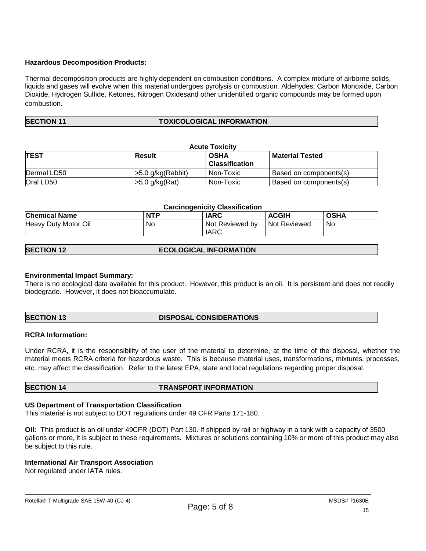# **Hazardous Decomposition Products:**

Thermal decomposition products are highly dependent on combustion conditions. A complex mixture of airborne solids, liquids and gases will evolve when this material undergoes pyrolysis or combustion. Aldehydes, Carbon Monoxide, Carbon Dioxide, Hydrogen Sulfide, Ketones, Nitrogen Oxidesand other unidentified organic compounds may be formed upon combustion.

# **SECTION 11 TOXICOLOGICAL INFORMATION**

| <b>Acute Toxicity</b>                       |                   |                       |                               |  |
|---------------------------------------------|-------------------|-----------------------|-------------------------------|--|
| <b>TEST</b><br><b>OSHA</b><br><b>Result</b> |                   |                       | <b>Material Tested</b>        |  |
|                                             |                   | <b>Classification</b> |                               |  |
| Dermal LD50                                 | >5.0 g/kg(Rabbit) | Non-Toxic             | <b>Based on components(s)</b> |  |
| Oral LD50                                   | $>5.0$ g/kg(Rat)  | Non-Toxic             | Based on components(s)        |  |

| <b>Carcinogenicity Classification</b> |            |                                |                |             |
|---------------------------------------|------------|--------------------------------|----------------|-------------|
| <b>Chemical Name</b>                  | <b>NTP</b> | <b>IARC</b>                    | <b>ACGIH</b>   | <b>OSHA</b> |
| Heavy Duty Motor Oil                  | No         | Not Reviewed by<br><b>IARC</b> | l Not Reviewed | No.         |

| <b>SECTION 12</b><br><b>ECOLOGICAL INFORMATION</b> |  |
|----------------------------------------------------|--|
|----------------------------------------------------|--|

#### **Environmental Impact Summary:**

There is no ecological data available for this product. However, this product is an oil. It is persistent and does not readily biodegrade. However, it does not bioaccumulate.

# **SECTION 13 DISPOSAL CONSIDERATIONS**

#### **RCRA Information:**

Under RCRA, it is the responsibility of the user of the material to determine, at the time of the disposal, whether the material meets RCRA criteria for hazardous waste. This is because material uses, transformations, mixtures, processes, etc. may affect the classification. Refer to the latest EPA, state and local regulations regarding proper disposal.

#### **SECTION 14 TRANSPORT INFORMATION**

#### **US Department of Transportation Classification**

This material is not subject to DOT regulations under 49 CFR Parts 171-180.

**Oil:** This product is an oil under 49CFR (DOT) Part 130. If shipped by rail or highway in a tank with a capacity of 3500 gallons or more, it is subject to these requirements. Mixtures or solutions containing 10% or more of this product may also be subject to this rule.

#### **International Air Transport Association**

Not regulated under IATA rules.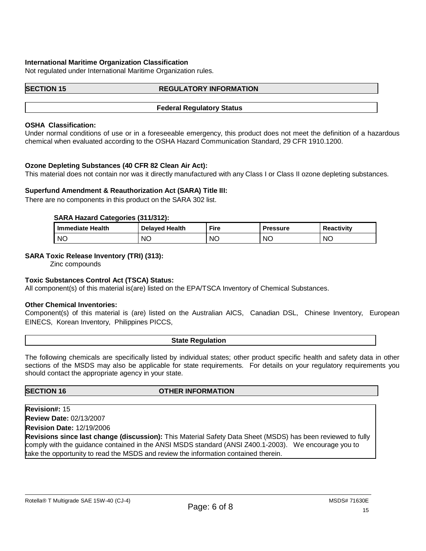### **International Maritime Organization Classification**

Not regulated under International Maritime Organization rules.

#### **SECTION 15 REGULATORY INFORMATION**

#### **Federal Regulatory Status**

#### **OSHA Classification:**

Under normal conditions of use or in a foreseeable emergency, this product does not meet the definition of a hazardous chemical when evaluated according to the OSHA Hazard Communication Standard, 29 CFR 1910.1200.

#### **Ozone Depleting Substances (40 CFR 82 Clean Air Act):**

This material does not contain nor was it directly manufactured with any Class I or Class II ozone depleting substances.

#### **Superfund Amendment & Reauthorization Act (SARA) Title III:**

There are no components in this product on the SARA 302 list.

#### **SARA Hazard Categories (311/312):**

| I Immediate Health | <b>Delaved Health</b> | <b>Fire</b> | Pressure | <b>Reactivity</b> |
|--------------------|-----------------------|-------------|----------|-------------------|
| <b>NC</b>          | ΝC                    | <b>NC</b>   | ΝC       | <b>NC</b>         |

### **SARA Toxic Release Inventory (TRI) (313):**

Zinc compounds

#### **Toxic Substances Control Act (TSCA) Status:**

All component(s) of this material is(are) listed on the EPA/TSCA Inventory of Chemical Substances.

#### **Other Chemical Inventories:**

Component(s) of this material is (are) listed on the Australian AICS, Canadian DSL, Chinese Inventory, European EINECS, Korean Inventory, Philippines PICCS,

#### **State Regulation**

The following chemicals are specifically listed by individual states; other product specific health and safety data in other sections of the MSDS may also be applicable for state requirements. For details on your regulatory requirements you should contact the appropriate agency in your state.

# **SECTION 16 OTHER INFORMATION**

**Revision#:** 15

**Review Date:** 02/13/2007 **Revision Date:** 12/19/2006

**Revisions since last change (discussion):** This Material Safety Data Sheet (MSDS) has been reviewed to fully comply with the guidance contained in the ANSI MSDS standard (ANSI Z400.1-2003). We encourage you to take the opportunity to read the MSDS and review the information contained therein.

#### Rotella® T Multigrade SAE 15W-40 (CJ-4)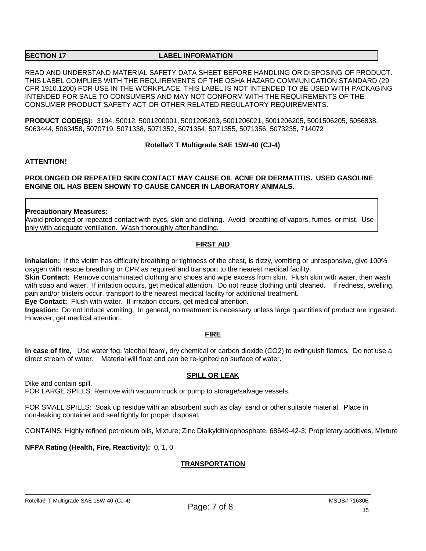#### **SECTION 17 LABEL INFORMATION**

READ AND UNDERSTAND MATERIAL SAFETY DATA SHEET BEFORE HANDLING OR DISPOSING OF PRODUCT. THIS LABEL COMPLIES WITH THE REQUIREMENTS OF THE OSHA HAZARD COMMUNICATION STANDARD (29 CFR 1910.1200) FOR USE IN THE WORKPLACE. THIS LABEL IS NOT INTENDED TO BE USED WITH PACKAGING INTENDED FOR SALE TO CONSUMERS AND MAY NOT CONFORM WITH THE REQUIREMENTS OF THE CONSUMER PRODUCT SAFETY ACT OR OTHER RELATED REGULATORY REQUIREMENTS.

**PRODUCT CODE(S):** 3194, 50012, 5001200001, 5001205203, 5001206021, 5001206205, 5001506205, 5056838, 5063444, 5063458, 5070719, 5071338, 5071352, 5071354, 5071355, 5071356, 5073235, 714072

# **Rotella® T Multigrade SAE 15W-40 (CJ-4)**

### **ATTENTION!**

# **PROLONGED OR REPEATED SKIN CONTACT MAY CAUSE OIL ACNE OR DERMATITIS. USED GASOLINE ENGINE OIL HAS BEEN SHOWN TO CAUSE CANCER IN LABORATORY ANIMALS.**

### **Precautionary Measures:**

Avoid prolonged or repeated contact with eyes, skin and clothing. Avoid breathing of vapors, fumes, or mist. Use only with adequate ventilation. Wash thoroughly after handling.

# **FIRST AID**

**Inhalation:** If the victim has difficulty breathing or tightness of the chest, is dizzy, vomiting or unresponsive, give 100% oxygen with rescue breathing or CPR as required and transport to the nearest medical facility.

**Skin Contact:** Remove contaminated clothing and shoes and wipe excess from skin. Flush skin with water, then wash with soap and water. If irritation occurs, get medical attention. Do not reuse clothing until cleaned. If redness, swelling, pain and/or blisters occur, transport to the nearest medical facility for additional treatment.

**Eye Contact:** Flush with water. If irritation occurs, get medical attention.

**Ingestion:** Do not induce vomiting. In general, no treatment is necessary unless large quantities of product are ingested. However, get medical attention.

# **FIRE**

**In case of fire,** Use water fog, 'alcohol foam', dry chemical or carbon dioxide (CO2) to extinguish flames. Do not use a direct stream of water. Material will float and can be re-ignited on surface of water.

#### **SPILL OR LEAK**

Dike and contain spill.

FOR LARGE SPILLS: Remove with vacuum truck or pump to storage/salvage vessels.

FOR SMALL SPILLS: Soak up residue with an absorbent such as clay, sand or other suitable material. Place in non-leaking container and seal tightly for proper disposal.

CONTAINS: Highly refined petroleum oils, Mixture; Zinc Dialkyldithiophosphate, 68649-42-3; Proprietary additives, Mixture

**NFPA Rating (Health, Fire, Reactivity):** 0, 1, 0

# **TRANSPORTATION**